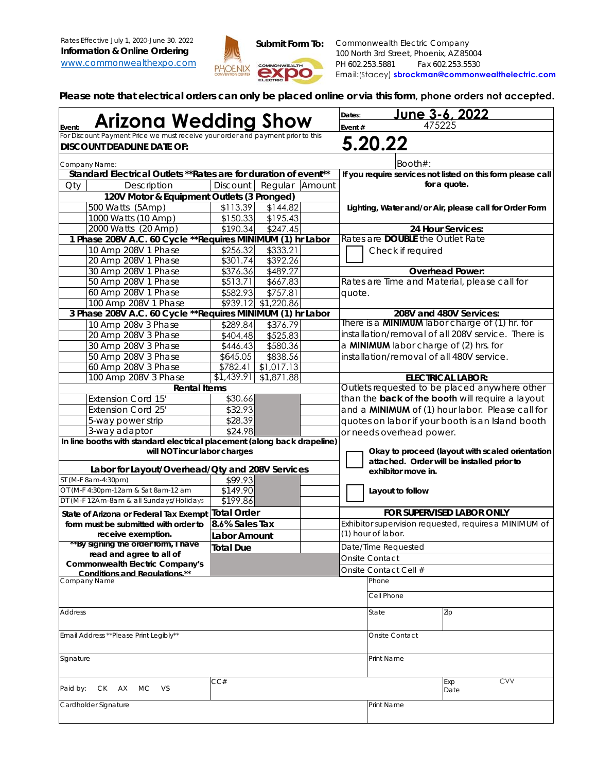

**Please note that electrical orders can only be placed online or via this form, phone orders not accepted.**

|                                                                                                                      |                        |                          |        | Dates:                                          | <u>June 3-6, 2022</u>                                                                                       |
|----------------------------------------------------------------------------------------------------------------------|------------------------|--------------------------|--------|-------------------------------------------------|-------------------------------------------------------------------------------------------------------------|
| <b>Arizona Wedding Show</b><br>Event:                                                                                |                        |                          |        | Event#                                          | 475225                                                                                                      |
| For Discount Payment Price we must receive your order and payment prior to this<br><b>DISCOUNT DEADLINE DATE OF:</b> |                        |                          |        |                                                 | 5.20.22                                                                                                     |
| Company Name:                                                                                                        |                        |                          |        |                                                 | Booth#:                                                                                                     |
| Standard Electrical Outlets ** Rates are for duration of event**                                                     |                        |                          |        |                                                 | If you require services not listed on this form please call                                                 |
| Oty<br>Description                                                                                                   | Discount               | Regular                  | Amount |                                                 | for a quote.                                                                                                |
| 120V Motor & Equipment Outlets (3 Pronged)                                                                           |                        |                          |        |                                                 |                                                                                                             |
| 500 Watts (5Amp)                                                                                                     | \$113.39               | \$144.82                 |        |                                                 | Lighting, Water and/or Air, please call for Order Form                                                      |
| 1000 Watts (10 Amp)                                                                                                  | \$150.33               | \$195.43                 |        |                                                 |                                                                                                             |
| 2000 Watts (20 Amp)                                                                                                  | \$190.34               | \$247.45                 |        |                                                 | 24 Hour Services:                                                                                           |
| 1 Phase 208V A.C. 60 Cycle ** Requires MINIMUM (1) hr Labor                                                          |                        |                          |        |                                                 | Rates are <b>DOUBLE</b> the Outlet Rate                                                                     |
| 10 Amp 208V 1 Phase                                                                                                  | \$256.32               | \$333.21                 |        |                                                 | Check if required                                                                                           |
| 20 Amp 208V 1 Phase                                                                                                  | \$301.74               | \$392.26                 |        |                                                 |                                                                                                             |
| 30 Amp 208V 1 Phase                                                                                                  | \$376.36               | \$489.27                 |        |                                                 | <b>Overhead Power:</b>                                                                                      |
| 50 Amp 208V 1 Phase                                                                                                  | \$513.71               | \$667.83                 |        |                                                 | Rates are Time and Material, please call for                                                                |
| 60 Amp 208V 1 Phase                                                                                                  | \$582.93               | \$757.81                 |        | quote.                                          |                                                                                                             |
| 100 Amp 208V 1 Phase                                                                                                 |                        | \$939.12 \$1,220.86      |        |                                                 |                                                                                                             |
| 3 Phase 208V A.C. 60 Cycle ** Requires MINIMUM (1) hr Labor                                                          |                        |                          |        |                                                 | 208V and 480V Services:                                                                                     |
| 10 Amp 208v 3 Phase                                                                                                  | \$289.84               | \$376.79                 |        |                                                 | There is a <b>MINIMUM</b> labor charge of (1) hr. for<br>installation/removal of all 208V service. There is |
| 20 Amp 208V 3 Phase                                                                                                  | \$404.48               | \$525.83                 |        |                                                 |                                                                                                             |
| 30 Amp 208V 3 Phase                                                                                                  | \$446.43]              | \$580.36                 |        |                                                 | a MINIMUM labor charge of (2) hrs. for                                                                      |
| 50 Amp 208V 3 Phase                                                                                                  | \$645.05               | \$838.56                 |        |                                                 | installation/removal of all 480V service.                                                                   |
| 60 Amp 208V 3 Phase<br>100 Amp 208V 3 Phase                                                                          | \$782.41<br>\$1,439.91 | \$1,017.13<br>\$1,871.88 |        |                                                 | <b>ELECTRICAL LABOR:</b>                                                                                    |
| <b>Rental Items</b>                                                                                                  |                        |                          |        |                                                 | Outlets requested to be placed anywhere other                                                               |
| <b>Extension Cord 15'</b>                                                                                            | \$30.66                |                          |        |                                                 | than the back of the booth will require a layout                                                            |
| <b>Extension Cord 25'</b>                                                                                            | \$32.93                |                          |        |                                                 | and a <b>MINIMUM</b> of (1) hour labor. Please call for                                                     |
| 5-way power strip                                                                                                    | \$28.39                |                          |        |                                                 | quotes on labor if your booth is an Island booth                                                            |
| 3-way adaptor                                                                                                        | \$24.98                |                          |        |                                                 |                                                                                                             |
| In line booths with standard electrical placement (along back drapeline)                                             |                        |                          |        |                                                 | or needs overhead power.                                                                                    |
| will NOT incur labor charges                                                                                         |                        |                          |        | Okay to proceed (layout with scaled orientation |                                                                                                             |
|                                                                                                                      |                        |                          |        |                                                 | attached. Order will be installed prior to                                                                  |
| Labor for Layout/Overhead/Qty and 208V Services                                                                      |                        |                          |        |                                                 | exhibitor move in.                                                                                          |
| ST (M-F 8am-4:30pm)                                                                                                  | \$99.93                |                          |        |                                                 |                                                                                                             |
| OT (M-F 4:30pm-12am & Sat 8am-12 am<br>DT (M-F 12Am-8am & all Sundays/Holidays                                       | \$149.90<br>\$199.86   |                          |        |                                                 | Layout to follow                                                                                            |
|                                                                                                                      |                        |                          |        |                                                 | <b>FOR SUPERVISED LABOR ONLY</b>                                                                            |
| State of Arizona or Federal Tax Exempt                                                                               | Total Order            |                          |        |                                                 |                                                                                                             |
| form must be submitted with order to                                                                                 | 8.6% Sales Tax         |                          |        |                                                 | Exhibitor supervision requested, requires a MINIMUM of<br>(1) hour of labor.                                |
| receive exemption.<br>**By signing the order form, I have                                                            | Labor Amount           |                          |        |                                                 |                                                                                                             |
| read and agree to all of                                                                                             | <b>Total Due</b>       |                          |        |                                                 | Date/Time Requested                                                                                         |
| <b>Commonwealth Electric Company's</b>                                                                               |                        |                          |        |                                                 | <b>Onsite Contact</b>                                                                                       |
| Conditions and Regulations.**                                                                                        |                        |                          |        |                                                 | Onsite Contact Cell #                                                                                       |
| Company Name                                                                                                         |                        |                          |        |                                                 | Phone                                                                                                       |
|                                                                                                                      |                        |                          |        |                                                 | Cell Phone                                                                                                  |
| <b>Address</b>                                                                                                       |                        |                          |        |                                                 | State<br>Zip                                                                                                |
| Email Address ** Please Print Legibly**                                                                              |                        |                          |        | Onsite Contact                                  |                                                                                                             |
|                                                                                                                      |                        |                          |        |                                                 |                                                                                                             |
| Signature                                                                                                            |                        |                          |        |                                                 | Print Name                                                                                                  |
| Paid by:<br>CK AX MC<br><b>VS</b>                                                                                    | CC#                    |                          |        |                                                 | <b>CVV</b><br>Exp<br>Date                                                                                   |
|                                                                                                                      |                        |                          |        |                                                 |                                                                                                             |
| Cardholder Signature                                                                                                 |                        |                          |        |                                                 | Print Name                                                                                                  |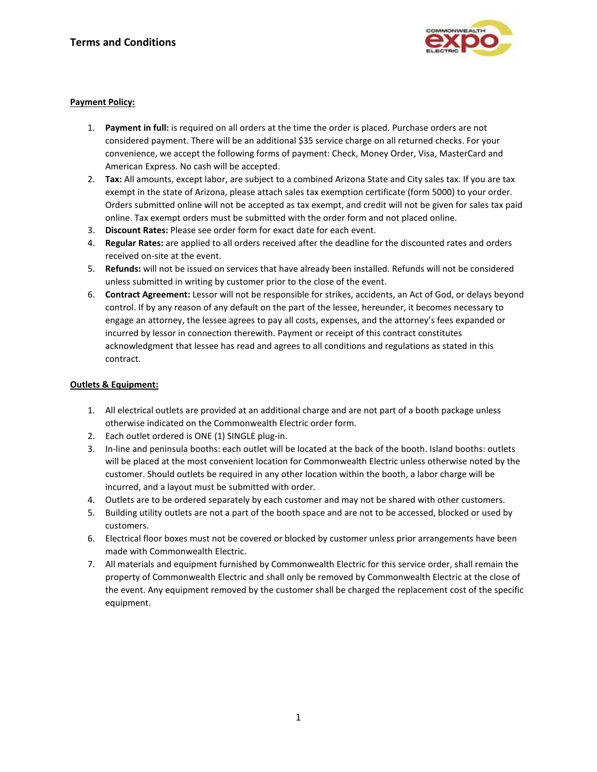

### **Payment Policy:**

- 1. **Payment in full:** is required on all orders at the time the order is placed. Purchase orders are not considered payment. There will be an additional \$35 service charge on all returned checks. For your convenience, we accept the following forms of payment: Check, Money Order, Visa, MasterCard and American Express. No cash will be accepted.
- 2. **Tax:** All amounts, except labor, are subject to a combined Arizona State and City sales tax. If you are tax exempt in the state of Arizona, please attach sales tax exemption certificate (form 5000) to your order. Orders submitted online will not be accepted as tax exempt, and credit will not be given for sales tax paid online. Tax exempt orders must be submitted with the order form and not placed online.
- 3. **Discount Rates:** Please see order form for exact date for each event.
- 4. **Regular Rates:** are applied to all orders received after the deadline for the discounted rates and orders received on-site at the event.
- 5. **Refunds:** will not be issued on services that have already been installed. Refunds will not be considered unless submitted in writing by customer prior to the close of the event.
- 6. **Contract Agreement:** Lessor will not be responsible for strikes, accidents, an Act of God, or delays beyond control. If by any reason of any default on the part of the lessee, hereunder, it becomes necessary to engage an attorney, the lessee agrees to pay all costs, expenses, and the attorney's fees expanded or incurred by lessor in connection therewith. Payment or receipt of this contract constitutes acknowledgment that lessee has read and agrees to all conditions and regulations as stated in this contract.

#### **Outlets & Equipment:**

- 1. All electrical outlets are provided at an additional charge and are not part of a booth package unless otherwise indicated on the Commonwealth Electric order form.
- 2. Each outlet ordered is ONE (1) SINGLE plug-in.
- 3. In-line and peninsula booths: each outlet will be located at the back of the booth. Island booths: outlets will be placed at the most convenient location for Commonwealth Electric unless otherwise noted by the customer. Should outlets be required in any other location within the booth, a labor charge will be incurred, and a layout must be submitted with order.
- 4. Outlets are to be ordered separately by each customer and may not be shared with other customers.
- 5. Building utility outlets are not a part of the booth space and are not to be accessed, blocked or used by customers.
- 6. Electrical floor boxes must not be covered or blocked by customer unless prior arrangements have been made with Commonwealth Electric.
- 7. All materials and equipment furnished by Commonwealth Electric for this service order, shall remain the property of Commonwealth Electric and shall only be removed by Commonwealth Electric at the close of the event. Any equipment removed by the customer shall be charged the replacement cost of the specific equipment.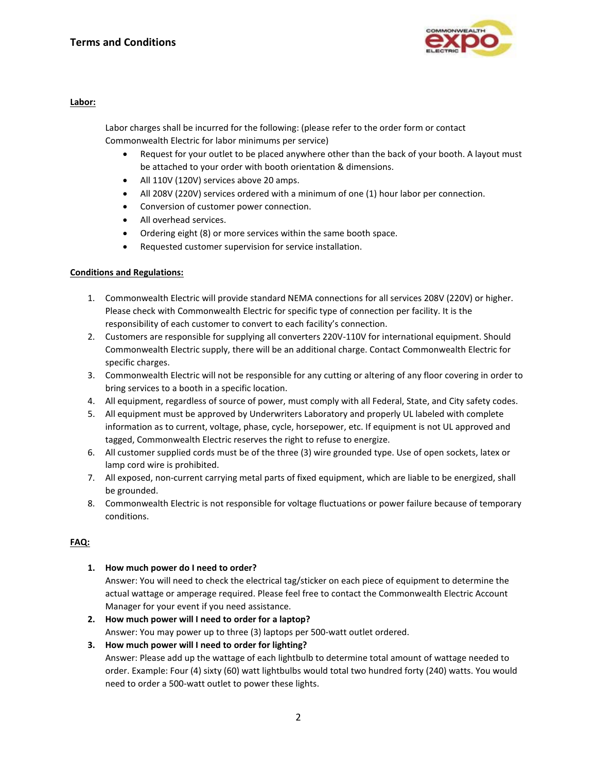

#### **Labor:**

Labor charges shall be incurred for the following: (please refer to the order form or contact Commonwealth Electric for labor minimums per service)

- Request for your outlet to be placed anywhere other than the back of your booth. A layout must be attached to your order with booth orientation & dimensions.
- All 110V (120V) services above 20 amps.
- All 208V (220V) services ordered with a minimum of one (1) hour labor per connection.
- Conversion of customer power connection.
- All overhead services.
- Ordering eight (8) or more services within the same booth space.
- Requested customer supervision for service installation.

# **Conditions and Regulations:**

- 1. Commonwealth Electric will provide standard NEMA connections for all services 208V (220V) or higher. Please check with Commonwealth Electric for specific type of connection per facility. It is the responsibility of each customer to convert to each facility's connection.
- 2. Customers are responsible for supplying all converters 220V-110V for international equipment. Should Commonwealth Electric supply, there will be an additional charge. Contact Commonwealth Electric for specific charges.
- 3. Commonwealth Electric will not be responsible for any cutting or altering of any floor covering in order to bring services to a booth in a specific location.
- 4. All equipment, regardless of source of power, must comply with all Federal, State, and City safety codes.
- 5. All equipment must be approved by Underwriters Laboratory and properly UL labeled with complete information as to current, voltage, phase, cycle, horsepower, etc. If equipment is not UL approved and tagged, Commonwealth Electric reserves the right to refuse to energize.
- 6. All customer supplied cords must be of the three (3) wire grounded type. Use of open sockets, latex or lamp cord wire is prohibited.
- 7. All exposed, non-current carrying metal parts of fixed equipment, which are liable to be energized, shall be grounded.
- 8. Commonwealth Electric is not responsible for voltage fluctuations or power failure because of temporary conditions.

# **FAQ:**

**1. How much power do I need to order?**

Answer: You will need to check the electrical tag/sticker on each piece of equipment to determine the actual wattage or amperage required. Please feel free to contact the Commonwealth Electric Account Manager for your event if you need assistance.

- **2. How much power will I need to order for a laptop?** Answer: You may power up to three (3) laptops per 500-watt outlet ordered.
- **3. How much power will I need to order for lighting?** Answer: Please add up the wattage of each lightbulb to determine total amount of wattage needed to order. Example: Four (4) sixty (60) watt lightbulbs would total two hundred forty (240) watts. You would need to order a 500-watt outlet to power these lights.